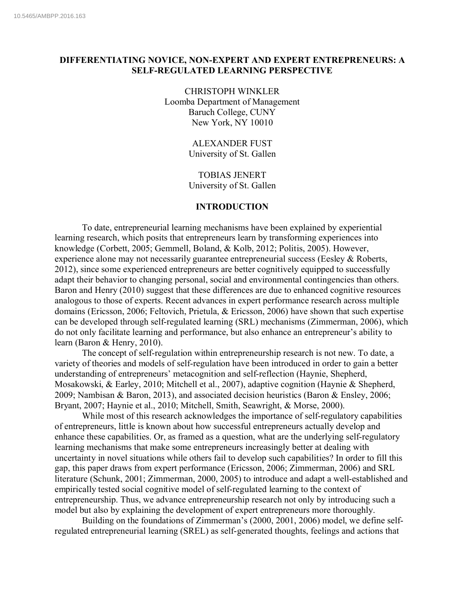# **DIFFERENTIATING NOVICE, NON-EXPERT AND EXPERT ENTREPRENEURS: A SELF-REGULATED LEARNING PERSPECTIVE**

CHRISTOPH WINKLER Loomba Department of Management Baruch College, CUNY New York, NY 10010

> ALEXANDER FUST University of St. Gallen

> TOBIAS JENERT University of St. Gallen

# **INTRODUCTION**

To date, entrepreneurial learning mechanisms have been explained by experiential learning research, which posits that entrepreneurs learn by transforming experiences into knowledge (Corbett, 2005; Gemmell, Boland, & Kolb, 2012; Politis, 2005). However, experience alone may not necessarily guarantee entrepreneurial success (Eesley & Roberts, 2012), since some experienced entrepreneurs are better cognitively equipped to successfully adapt their behavior to changing personal, social and environmental contingencies than others. Baron and Henry (2010) suggest that these differences are due to enhanced cognitive resources analogous to those of experts. Recent advances in expert performance research across multiple domains (Ericsson, 2006; Feltovich, Prietula, & Ericsson, 2006) have shown that such expertise can be developed through self-regulated learning (SRL) mechanisms (Zimmerman, 2006), which do not only facilitate learning and performance, but also enhance an entrepreneur's ability to learn (Baron & Henry, 2010).

The concept of self-regulation within entrepreneurship research is not new. To date, a variety of theories and models of self-regulation have been introduced in order to gain a better understanding of entrepreneurs' metacognition and self-reflection (Haynie, Shepherd, Mosakowski, & Earley, 2010; Mitchell et al., 2007), adaptive cognition (Haynie & Shepherd, 2009; Nambisan & Baron, 2013), and associated decision heuristics (Baron & Ensley, 2006; Bryant, 2007; Haynie et al., 2010; Mitchell, Smith, Seawright, & Morse, 2000).

While most of this research acknowledges the importance of self-regulatory capabilities of entrepreneurs, little is known about how successful entrepreneurs actually develop and enhance these capabilities. Or, as framed as a question, what are the underlying self-regulatory learning mechanisms that make some entrepreneurs increasingly better at dealing with uncertainty in novel situations while others fail to develop such capabilities? In order to fill this gap, this paper draws from expert performance (Ericsson, 2006; Zimmerman, 2006) and SRL literature (Schunk, 2001; Zimmerman, 2000, 2005) to introduce and adapt a well-established and empirically tested social cognitive model of self-regulated learning to the context of entrepreneurship. Thus, we advance entrepreneurship research not only by introducing such a model but also by explaining the development of expert entrepreneurs more thoroughly.

Building on the foundations of Zimmerman's (2000, 2001, 2006) model, we define selfregulated entrepreneurial learning (SREL) as self-generated thoughts, feelings and actions that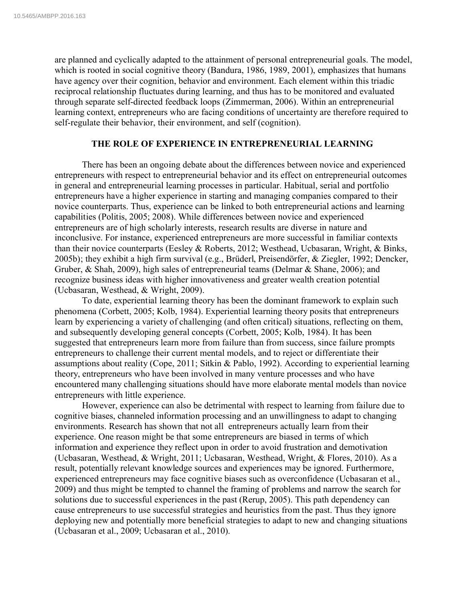are planned and cyclically adapted to the attainment of personal entrepreneurial goals. The model, which is rooted in social cognitive theory (Bandura, 1986, 1989, 2001), emphasizes that humans have agency over their cognition, behavior and environment. Each element within this triadic reciprocal relationship fluctuates during learning, and thus has to be monitored and evaluated through separate self-directed feedback loops (Zimmerman, 2006). Within an entrepreneurial learning context, entrepreneurs who are facing conditions of uncertainty are therefore required to self-regulate their behavior, their environment, and self (cognition).

# **THE ROLE OF EXPERIENCE IN ENTREPRENEURIAL LEARNING**

There has been an ongoing debate about the differences between novice and experienced entrepreneurs with respect to entrepreneurial behavior and its effect on entrepreneurial outcomes in general and entrepreneurial learning processes in particular. Habitual, serial and portfolio entrepreneurs have a higher experience in starting and managing companies compared to their novice counterparts. Thus, experience can be linked to both entrepreneurial actions and learning capabilities (Politis, 2005; 2008). While differences between novice and experienced entrepreneurs are of high scholarly interests, research results are diverse in nature and inconclusive. For instance, experienced entrepreneurs are more successful in familiar contexts than their novice counterparts (Eesley & Roberts, 2012; Westhead, Ucbasaran, Wright, & Binks, 2005b); they exhibit a high firm survival (e.g., Brüderl, Preisendörfer, & Ziegler, 1992; Dencker, Gruber, & Shah, 2009), high sales of entrepreneurial teams (Delmar & Shane, 2006); and recognize business ideas with higher innovativeness and greater wealth creation potential (Ucbasaran, Westhead, & Wright, 2009).

To date, experiential learning theory has been the dominant framework to explain such phenomena (Corbett, 2005; Kolb, 1984). Experiential learning theory posits that entrepreneurs learn by experiencing a variety of challenging (and often critical) situations, reflecting on them, and subsequently developing general concepts (Corbett, 2005; Kolb, 1984). It has been suggested that entrepreneurs learn more from failure than from success, since failure prompts entrepreneurs to challenge their current mental models, and to reject or differentiate their assumptions about reality (Cope, 2011; Sitkin & Pablo, 1992). According to experiential learning theory, entrepreneurs who have been involved in many venture processes and who have encountered many challenging situations should have more elaborate mental models than novice entrepreneurs with little experience.

However, experience can also be detrimental with respect to learning from failure due to cognitive biases, channeled information processing and an unwillingness to adapt to changing environments. Research has shown that not all entrepreneurs actually learn from their experience. One reason might be that some entrepreneurs are biased in terms of which information and experience they reflect upon in order to avoid frustration and demotivation (Ucbasaran, Westhead, & Wright, 2011; Ucbasaran, Westhead, Wright, & Flores, 2010). As a result, potentially relevant knowledge sources and experiences may be ignored. Furthermore, experienced entrepreneurs may face cognitive biases such as overconfidence (Ucbasaran et al., 2009) and thus might be tempted to channel the framing of problems and narrow the search for solutions due to successful experiences in the past (Rerup, 2005). This path dependency can cause entrepreneurs to use successful strategies and heuristics from the past. Thus they ignore deploying new and potentially more beneficial strategies to adapt to new and changing situations (Ucbasaran et al., 2009; Ucbasaran et al., 2010).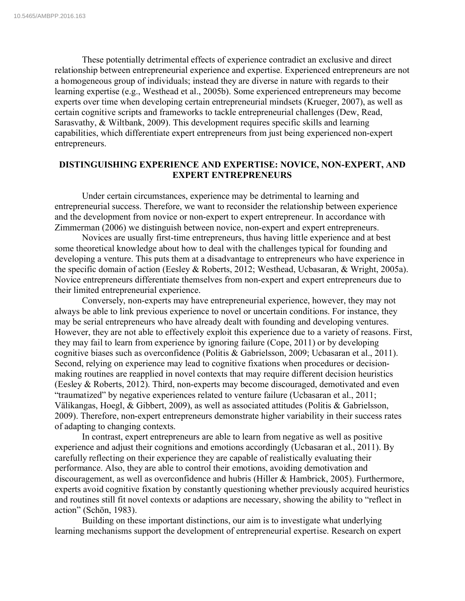These potentially detrimental effects of experience contradict an exclusive and direct relationship between entrepreneurial experience and expertise. Experienced entrepreneurs are not a homogeneous group of individuals; instead they are diverse in nature with regards to their learning expertise (e.g., Westhead et al., 2005b). Some experienced entrepreneurs may become experts over time when developing certain entrepreneurial mindsets (Krueger, 2007), as well as certain cognitive scripts and frameworks to tackle entrepreneurial challenges (Dew, Read, Sarasvathy, & Wiltbank, 2009). This development requires specific skills and learning capabilities, which differentiate expert entrepreneurs from just being experienced non-expert entrepreneurs.

# **DISTINGUISHING EXPERIENCE AND EXPERTISE: NOVICE, NON-EXPERT, AND EXPERT ENTREPRENEURS**

Under certain circumstances, experience may be detrimental to learning and entrepreneurial success. Therefore, we want to reconsider the relationship between experience and the development from novice or non-expert to expert entrepreneur. In accordance with Zimmerman (2006) we distinguish between novice, non-expert and expert entrepreneurs.

Novices are usually first-time entrepreneurs, thus having little experience and at best some theoretical knowledge about how to deal with the challenges typical for founding and developing a venture. This puts them at a disadvantage to entrepreneurs who have experience in the specific domain of action (Eesley & Roberts, 2012; Westhead, Ucbasaran, & Wright, 2005a). Novice entrepreneurs differentiate themselves from non-expert and expert entrepreneurs due to their limited entrepreneurial experience.

Conversely, non-experts may have entrepreneurial experience, however, they may not always be able to link previous experience to novel or uncertain conditions. For instance, they may be serial entrepreneurs who have already dealt with founding and developing ventures. However, they are not able to effectively exploit this experience due to a variety of reasons. First, they may fail to learn from experience by ignoring failure (Cope, 2011) or by developing cognitive biases such as overconfidence (Politis & Gabrielsson, 2009; Ucbasaran et al., 2011). Second, relying on experience may lead to cognitive fixations when procedures or decisionmaking routines are reapplied in novel contexts that may require different decision heuristics (Eesley & Roberts, 2012). Third, non-experts may become discouraged, demotivated and even "traumatized" by negative experiences related to venture failure (Ucbasaran et al., 2011; Välikangas, Hoegl, & Gibbert, 2009), as well as associated attitudes (Politis & Gabrielsson, 2009). Therefore, non-expert entrepreneurs demonstrate higher variability in their success rates of adapting to changing contexts.

In contrast, expert entrepreneurs are able to learn from negative as well as positive experience and adjust their cognitions and emotions accordingly (Ucbasaran et al., 2011). By carefully reflecting on their experience they are capable of realistically evaluating their performance. Also, they are able to control their emotions, avoiding demotivation and discouragement, as well as overconfidence and hubris (Hiller & Hambrick, 2005). Furthermore, experts avoid cognitive fixation by constantly questioning whether previously acquired heuristics and routines still fit novel contexts or adaptions are necessary, showing the ability to "reflect in action" (Schön, 1983).

Building on these important distinctions, our aim is to investigate what underlying learning mechanisms support the development of entrepreneurial expertise. Research on expert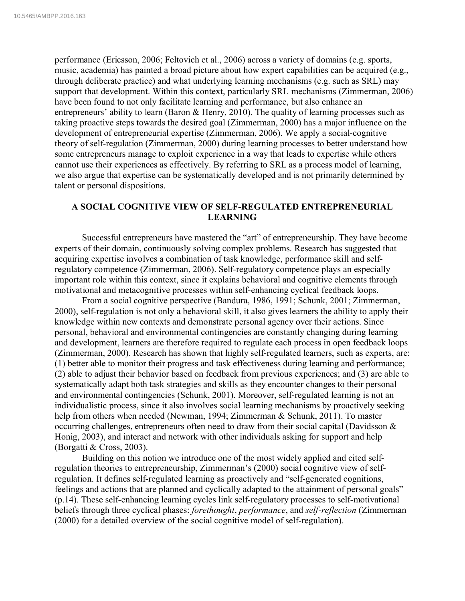performance (Ericsson, 2006; Feltovich et al., 2006) across a variety of domains (e.g. sports, music, academia) has painted a broad picture about how expert capabilities can be acquired (e.g., through deliberate practice) and what underlying learning mechanisms (e.g. such as SRL) may support that development. Within this context, particularly SRL mechanisms (Zimmerman, 2006) have been found to not only facilitate learning and performance, but also enhance an entrepreneurs' ability to learn (Baron & Henry, 2010). The quality of learning processes such as taking proactive steps towards the desired goal (Zimmerman, 2000) has a major influence on the development of entrepreneurial expertise (Zimmerman, 2006). We apply a social-cognitive theory of self-regulation (Zimmerman, 2000) during learning processes to better understand how some entrepreneurs manage to exploit experience in a way that leads to expertise while others cannot use their experiences as effectively. By referring to SRL as a process model of learning, we also argue that expertise can be systematically developed and is not primarily determined by talent or personal dispositions.

# **A SOCIAL COGNITIVE VIEW OF SELF-REGULATED ENTREPRENEURIAL LEARNING**

Successful entrepreneurs have mastered the "art" of entrepreneurship. They have become experts of their domain, continuously solving complex problems. Research has suggested that acquiring expertise involves a combination of task knowledge, performance skill and selfregulatory competence (Zimmerman, 2006). Self-regulatory competence plays an especially important role within this context, since it explains behavioral and cognitive elements through motivational and metacognitive processes within self-enhancing cyclical feedback loops.

From a social cognitive perspective (Bandura, 1986, 1991; Schunk, 2001; Zimmerman, 2000), self-regulation is not only a behavioral skill, it also gives learners the ability to apply their knowledge within new contexts and demonstrate personal agency over their actions. Since personal, behavioral and environmental contingencies are constantly changing during learning and development, learners are therefore required to regulate each process in open feedback loops (Zimmerman, 2000). Research has shown that highly self-regulated learners, such as experts, are: (1) better able to monitor their progress and task effectiveness during learning and performance; (2) able to adjust their behavior based on feedback from previous experiences; and (3) are able to systematically adapt both task strategies and skills as they encounter changes to their personal and environmental contingencies (Schunk, 2001). Moreover, self-regulated learning is not an individualistic process, since it also involves social learning mechanisms by proactively seeking help from others when needed (Newman, 1994; Zimmerman & Schunk, 2011). To master occurring challenges, entrepreneurs often need to draw from their social capital (Davidsson & Honig, 2003), and interact and network with other individuals asking for support and help (Borgatti & Cross, 2003).

Building on this notion we introduce one of the most widely applied and cited selfregulation theories to entrepreneurship, Zimmerman's (2000) social cognitive view of selfregulation. It defines self-regulated learning as proactively and "self-generated cognitions, feelings and actions that are planned and cyclically adapted to the attainment of personal goals" (p.14). These self-enhancing learning cycles link self-regulatory processes to self-motivational beliefs through three cyclical phases: *forethought*, *performance*, and *self-reflection* (Zimmerman (2000) for a detailed overview of the social cognitive model of self-regulation).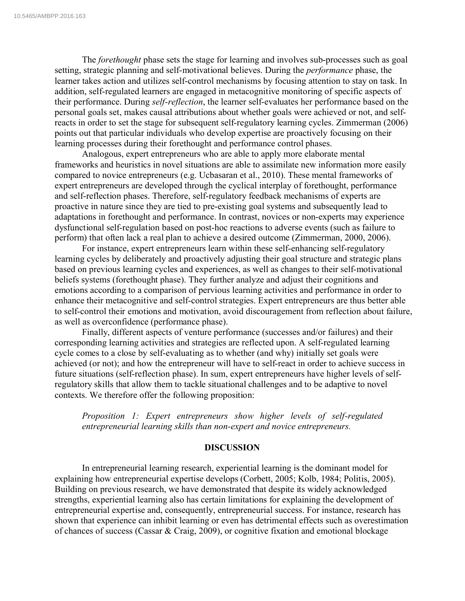The *forethought* phase sets the stage for learning and involves sub-processes such as goal setting, strategic planning and self-motivational believes. During the *performance* phase, the learner takes action and utilizes self-control mechanisms by focusing attention to stay on task. In addition, self-regulated learners are engaged in metacognitive monitoring of specific aspects of their performance. During *self-reflection*, the learner self-evaluates her performance based on the personal goals set, makes causal attributions about whether goals were achieved or not, and selfreacts in order to set the stage for subsequent self-regulatory learning cycles. Zimmerman (2006) points out that particular individuals who develop expertise are proactively focusing on their learning processes during their forethought and performance control phases.

Analogous, expert entrepreneurs who are able to apply more elaborate mental frameworks and heuristics in novel situations are able to assimilate new information more easily compared to novice entrepreneurs (e.g. Ucbasaran et al., 2010). These mental frameworks of expert entrepreneurs are developed through the cyclical interplay of forethought, performance and self-reflection phases. Therefore, self-regulatory feedback mechanisms of experts are proactive in nature since they are tied to pre-existing goal systems and subsequently lead to adaptations in forethought and performance. In contrast, novices or non-experts may experience dysfunctional self-regulation based on post-hoc reactions to adverse events (such as failure to perform) that often lack a real plan to achieve a desired outcome (Zimmerman, 2000, 2006).

For instance, expert entrepreneurs learn within these self-enhancing self-regulatory learning cycles by deliberately and proactively adjusting their goal structure and strategic plans based on previous learning cycles and experiences, as well as changes to their self-motivational beliefs systems (forethought phase). They further analyze and adjust their cognitions and emotions according to a comparison of pervious learning activities and performance in order to enhance their metacognitive and self-control strategies. Expert entrepreneurs are thus better able to self-control their emotions and motivation, avoid discouragement from reflection about failure, as well as overconfidence (performance phase).

Finally, different aspects of venture performance (successes and/or failures) and their corresponding learning activities and strategies are reflected upon. A self-regulated learning cycle comes to a close by self-evaluating as to whether (and why) initially set goals were achieved (or not); and how the entrepreneur will have to self-react in order to achieve success in future situations (self-reflection phase). In sum, expert entrepreneurs have higher levels of selfregulatory skills that allow them to tackle situational challenges and to be adaptive to novel contexts. We therefore offer the following proposition:

*Proposition 1: Expert entrepreneurs show higher levels of self-regulated entrepreneurial learning skills than non-expert and novice entrepreneurs.*

#### **DISCUSSION**

In entrepreneurial learning research, experiential learning is the dominant model for explaining how entrepreneurial expertise develops (Corbett, 2005; Kolb, 1984; Politis, 2005). Building on previous research, we have demonstrated that despite its widely acknowledged strengths, experiential learning also has certain limitations for explaining the development of entrepreneurial expertise and, consequently, entrepreneurial success. For instance, research has shown that experience can inhibit learning or even has detrimental effects such as overestimation of chances of success (Cassar & Craig, 2009), or cognitive fixation and emotional blockage